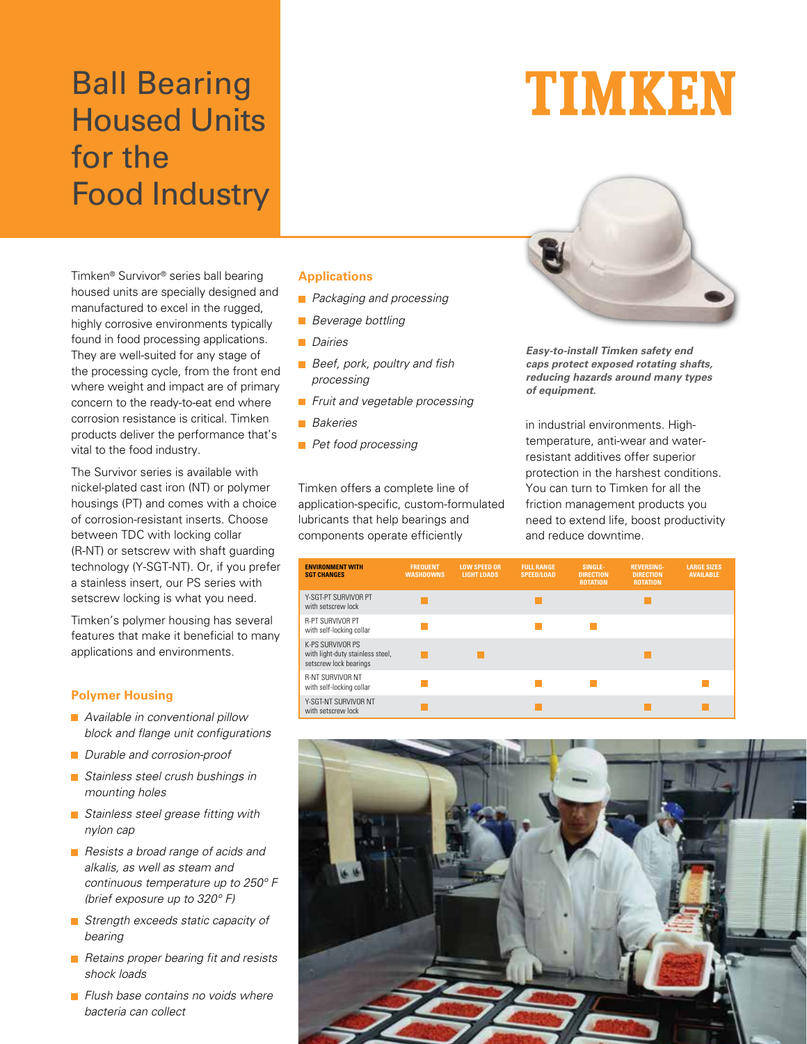## Ball Bearing Housed Units for the Food Industry

Timken® Survivor® series ball bearing housed units are specially designed and manufactured to excel in the rugged, highly corrosive environments typically found in food processing applications. They are well-suited for any stage of the processing cycle, from the front end where weight and impact are of primary concern to the ready-to-eat end where corrosion resistance is critical. Timken products deliver the performance that's vital to the food industry.

The Survivor series is available with nickel-plated cast iron (NT) or polymer housings (PT) and comes with a choice of corrosion-resistant inserts. Choose between TDC with locking collar (R-NT) or setscrew with shaft guarding technology (Y-SGT-NT). Or, if you prefer a stainless insert, our PS series with setscrew locking is what you need.

Timken's polymer housing has several features that make it beneficial to many applications and environments.

### **Polymer Housing**

- **Available in conventional pillow** block and flange unit configurations
- Durable and corrosion-proof
- **Stainless steel crush bushings in** mounting holes
- Stainless steel grease fitting with nylon cap
- Resists a broad range of acids and alkalis, as well as steam and continuous temperature up to 250° F (brief exposure up to 320° F)
- Strength exceeds static capacity of bearing
- Retains proper bearing fit and resists shock loads
- $\blacksquare$  Flush base contains no voids where bacteria can collect

### **Applications**

- **Packaging and processing**
- **Beverage bottling**
- **Dairies**
- **Beef, pork, poultry and fish** processing
- Fruit and vegetable processing
- **Bakeries**
- **Pet food processing**

Timken offers a complete line of application-specific, custom-formulated lubricants that help bearings and components operate efficiently



**Easy-to-install Timken safety end caps protect exposed rotating shafts, reducing hazards around many types of equipment.**

in industrial environments. Hightemperature, anti-wear and waterresistant additives offer superior protection in the harshest conditions. You can turn to Timken for all the friction management products you need to extend life, boost productivity and reduce downtime.

| <b>ENVIRONMENT WITH</b><br><b>SGT CHANGES</b>                                  | <b>FREQUENT</b><br><b>WASHDOWNS</b> | <b>LOW SPEED OR</b><br><b>LIGHT LOADS</b> | <b>FULL RANGE</b><br><b>SPEED/LOAD</b> | SINGLE-<br><b>DIRECTION</b><br><b>ROTATION</b> | <b>REVERSING-</b><br><b>DIRECTION</b><br><b>ROTATION</b> | <b>LARGE SIZES</b><br><b>AVAILABLE</b> |
|--------------------------------------------------------------------------------|-------------------------------------|-------------------------------------------|----------------------------------------|------------------------------------------------|----------------------------------------------------------|----------------------------------------|
| Y-SGT-PT SURVIVOR PT<br>with setscrew lock                                     |                                     |                                           |                                        |                                                |                                                          |                                        |
| <b>R-PT SURVIVOR PT</b><br>with self-locking collar                            |                                     |                                           |                                        |                                                |                                                          |                                        |
| K-PS SURVIVOR PS<br>with light-duty stainless steel,<br>setscrew lock bearings |                                     |                                           |                                        |                                                |                                                          |                                        |
| <b>R-NT SURVIVOR NT</b><br>with self-locking collar                            |                                     |                                           |                                        |                                                |                                                          |                                        |
| Y-SGT-NT SURVIVOR NT<br>with setscrew lock                                     |                                     |                                           |                                        |                                                |                                                          |                                        |



# TIMKEN